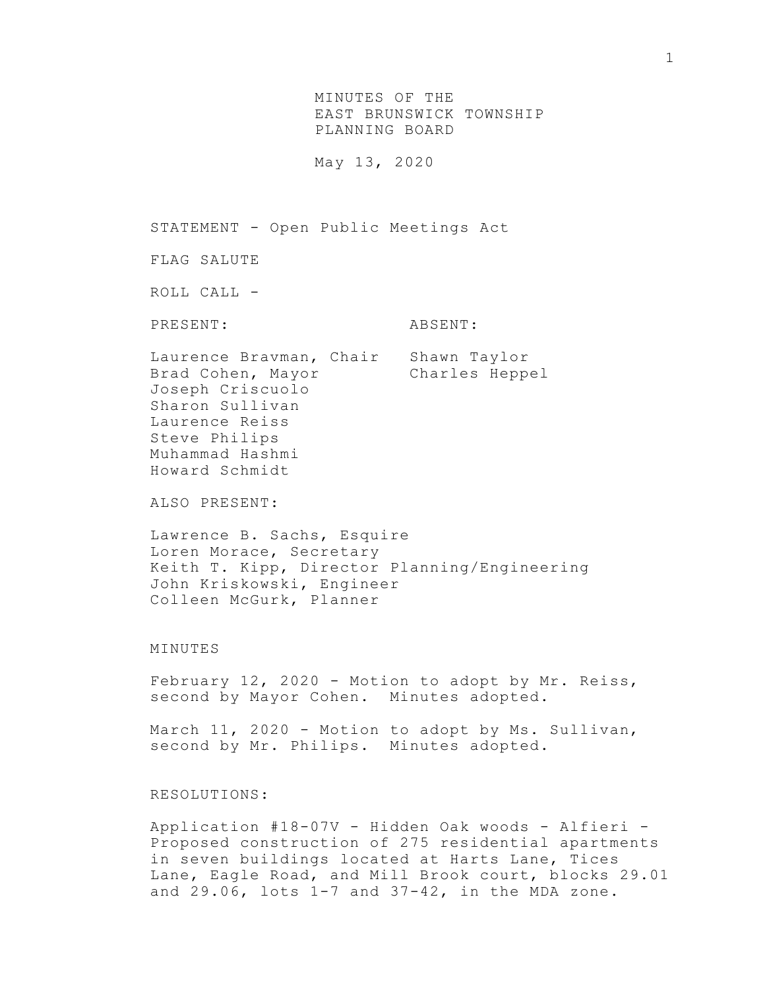MINUTES OF THE EAST BRUNSWICK TOWNSHIP PLANNING BOARD

May 13, 2020

STATEMENT - Open Public Meetings Act

FLAG SALUTE

ROLL CALL -

PRESENT: ABSENT:

Laurence Bravman, Chair Shawn Taylor Brad Cohen, Mayor Charles Heppel Joseph Criscuolo Sharon Sullivan Laurence Reiss Steve Philips Muhammad Hashmi Howard Schmidt

ALSO PRESENT:

Lawrence B. Sachs, Esquire Loren Morace, Secretary Keith T. Kipp, Director Planning/Engineering John Kriskowski, Engineer Colleen McGurk, Planner

## MINUTES

February 12, 2020 - Motion to adopt by Mr. Reiss, second by Mayor Cohen. Minutes adopted.

March 11, 2020 - Motion to adopt by Ms. Sullivan, second by Mr. Philips. Minutes adopted.

## RESOLUTIONS:

Application #18-07V - Hidden Oak woods - Alfieri - Proposed construction of 275 residential apartments in seven buildings located at Harts Lane, Tices Lane, Eagle Road, and Mill Brook court, blocks 29.01 and  $29.06$ , lots  $1-7$  and  $37-42$ , in the MDA zone.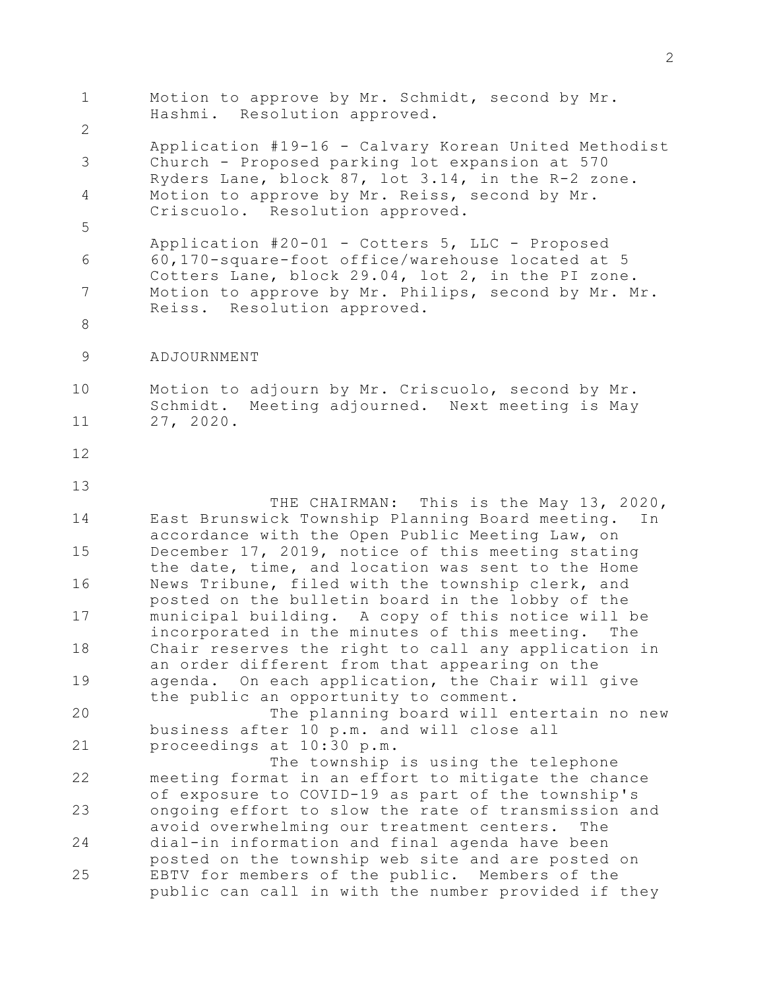| $\mathbf 1$    | Motion to approve by Mr. Schmidt, second by Mr.<br>Hashmi. Resolution approved.                                                                             |
|----------------|-------------------------------------------------------------------------------------------------------------------------------------------------------------|
| $\overline{2}$ |                                                                                                                                                             |
| 3              | Application #19-16 - Calvary Korean United Methodist<br>Church - Proposed parking lot expansion at 570<br>Ryders Lane, block 87, lot 3.14, in the R-2 zone. |
| 4              | Motion to approve by Mr. Reiss, second by Mr.<br>Criscuolo. Resolution approved.                                                                            |
| 5              |                                                                                                                                                             |
| 6              | Application #20-01 - Cotters 5, LLC - Proposed<br>60,170-square-foot office/warehouse located at 5<br>Cotters Lane, block 29.04, lot 2, in the PI zone.     |
| 7              | Motion to approve by Mr. Philips, second by Mr. Mr.<br>Reiss. Resolution approved.                                                                          |
| $8\,$          |                                                                                                                                                             |
| $\mathcal{G}$  | ADJOURNMENT                                                                                                                                                 |
| 10             | Motion to adjourn by Mr. Criscuolo, second by Mr.<br>Schmidt. Meeting adjourned. Next meeting is May                                                        |
| 11             | 27, 2020.                                                                                                                                                   |
| 12             |                                                                                                                                                             |
| 13             | THE CHAIRMAN: This is the May 13, 2020,                                                                                                                     |
| 14             | East Brunswick Township Planning Board meeting.<br>In<br>accordance with the Open Public Meeting Law, on                                                    |
| 15             | December 17, 2019, notice of this meeting stating<br>the date, time, and location was sent to the Home                                                      |
| 16             | News Tribune, filed with the township clerk, and<br>posted on the bulletin board in the lobby of the                                                        |
| 17             | municipal building. A copy of this notice will be<br>incorporated in the minutes of this meeting.<br>The                                                    |
| 18             | Chair reserves the right to call any application in<br>an order different from that appearing on the                                                        |
| 19             | On each application, the Chair will give<br>agenda.<br>the public an opportunity to comment.                                                                |
| 20             | The planning board will entertain no new<br>business after 10 p.m. and will close all                                                                       |
| 21             | proceedings at 10:30 p.m.<br>The township is using the telephone                                                                                            |
| 22             | meeting format in an effort to mitigate the chance<br>of exposure to COVID-19 as part of the township's                                                     |
| 23             | ongoing effort to slow the rate of transmission and<br>avoid overwhelming our treatment centers.<br>The                                                     |
| 24             | dial-in information and final agenda have been                                                                                                              |
| 25             | posted on the township web site and are posted on<br>EBTV for members of the public. Members of the<br>public can call in with the number provided if they  |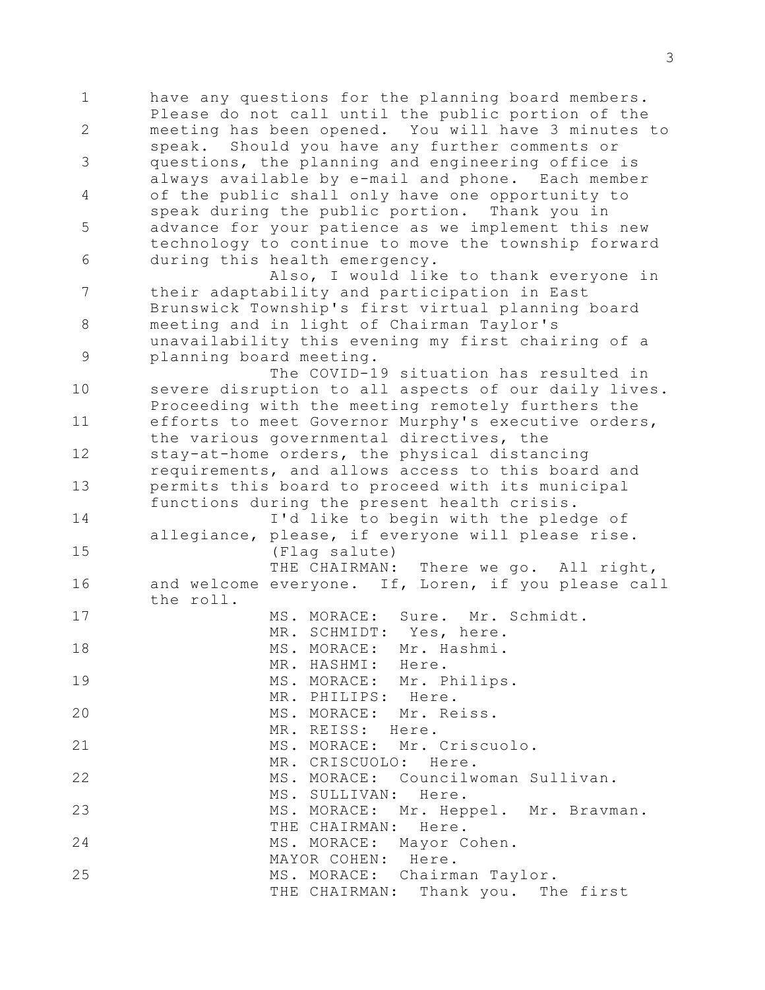1 2 3 4 5 6 7 8 9 10 11 12 13 14 15 16 17 18 19 20 21 22 23 24 25 have any questions for the planning board members. Please do not call until the public portion of the meeting has been opened. You will have 3 minutes to speak. Should you have any further comments or questions, the planning and engineering office is always available by e-mail and phone. Each member of the public shall only have one opportunity to speak during the public portion. Thank you in advance for your patience as we implement this new technology to continue to move the township forward during this health emergency. Also, I would like to thank everyone in their adaptability and participation in East Brunswick Township's first virtual planning board meeting and in light of Chairman Taylor's unavailability this evening my first chairing of a planning board meeting. The COVID-19 situation has resulted in severe disruption to all aspects of our daily lives. Proceeding with the meeting remotely furthers the efforts to meet Governor Murphy's executive orders, the various governmental directives, the stay-at-home orders, the physical distancing requirements, and allows access to this board and permits this board to proceed with its municipal functions during the present health crisis. I'd like to begin with the pledge of allegiance, please, if everyone will please rise. (Flag salute) THE CHAIRMAN: There we go. All right, and welcome everyone. If, Loren, if you please call the roll. MS. MORACE: Sure. Mr. Schmidt. MR. SCHMIDT: Yes, here. MS. MORACE: Mr. Hashmi. MR. HASHMI: Here. MS. MORACE: Mr. Philips. MR. PHILIPS: Here. MS. MORACE: Mr. Reiss. MR. REISS: Here. MS. MORACE: Mr. Criscuolo. MR. CRISCUOLO: Here. MS. MORACE: Councilwoman Sullivan. MS. SULLIVAN: Here. MS. MORACE: Mr. Heppel. Mr. Bravman. THE CHAIRMAN: Here. MS. MORACE: Mayor Cohen. MAYOR COHEN: Here. MS. MORACE: Chairman Taylor. THE CHAIRMAN: Thank you. The first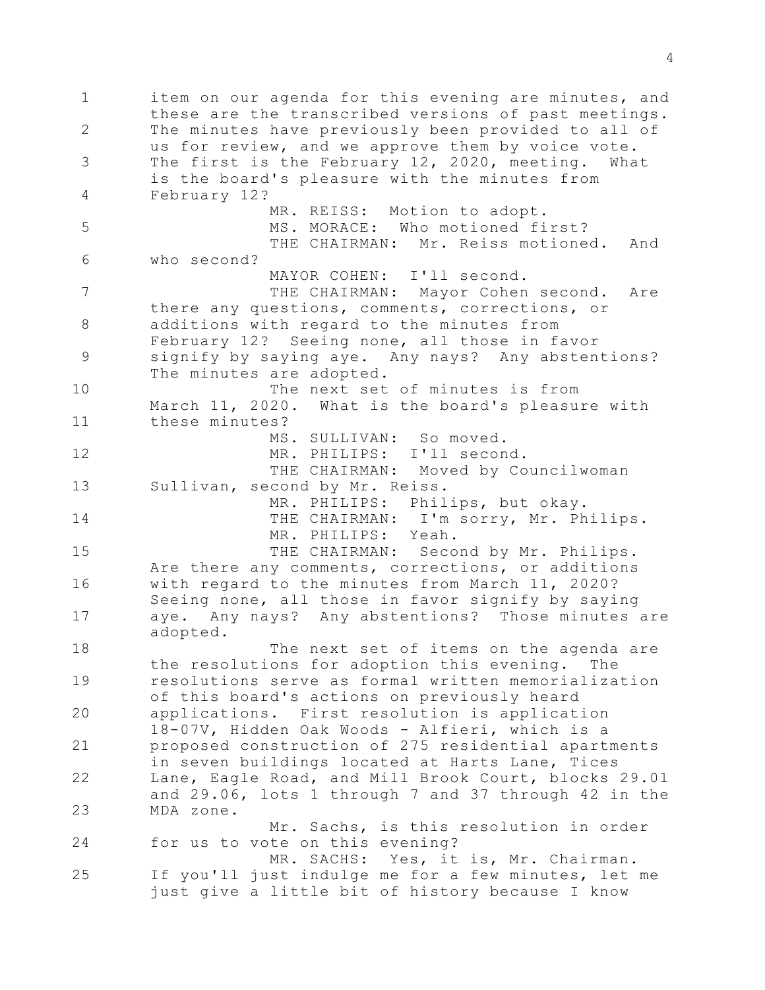1 2 3 4 5 6 7 8 9 10 11 12 13 14 15 16 17 18 19 20 21 22 23 24 25 item on our agenda for this evening are minutes, and these are the transcribed versions of past meetings. The minutes have previously been provided to all of us for review, and we approve them by voice vote. The first is the February 12, 2020, meeting. What is the board's pleasure with the minutes from February 12? MR. REISS: Motion to adopt. MS. MORACE: Who motioned first? THE CHAIRMAN: Mr. Reiss motioned. And who second? MAYOR COHEN: I'll second. THE CHAIRMAN: Mayor Cohen second. Are there any questions, comments, corrections, or additions with regard to the minutes from February 12? Seeing none, all those in favor signify by saying aye. Any nays? Any abstentions? The minutes are adopted. The next set of minutes is from March 11, 2020. What is the board's pleasure with these minutes? MS. SULLIVAN: So moved. MR. PHILIPS: I'll second. THE CHAIRMAN: Moved by Councilwoman Sullivan, second by Mr. Reiss. MR. PHILIPS: Philips, but okay. THE CHAIRMAN: I'm sorry, Mr. Philips. MR. PHILIPS: Yeah. THE CHAIRMAN: Second by Mr. Philips. Are there any comments, corrections, or additions with regard to the minutes from March 11, 2020? Seeing none, all those in favor signify by saying aye. Any nays? Any abstentions? Those minutes are adopted. The next set of items on the agenda are the resolutions for adoption this evening. The resolutions serve as formal written memorialization of this board's actions on previously heard applications. First resolution is application 18-07V, Hidden Oak Woods - Alfieri, which is a proposed construction of 275 residential apartments in seven buildings located at Harts Lane, Tices Lane, Eagle Road, and Mill Brook Court, blocks 29.01 and 29.06, lots 1 through 7 and 37 through 42 in the MDA zone. Mr. Sachs, is this resolution in order for us to vote on this evening? MR. SACHS: Yes, it is, Mr. Chairman. If you'll just indulge me for a few minutes, let me just give a little bit of history because I know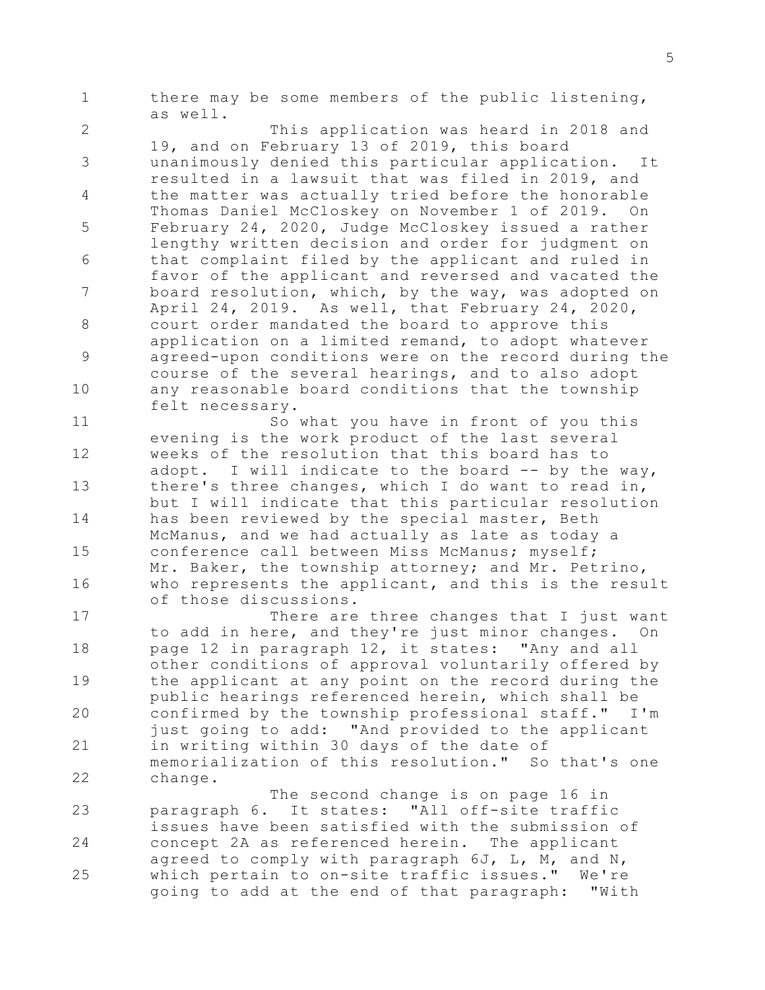1 there may be some members of the public listening, as well.

2 3 4 5 6 7 8 9 10 This application was heard in 2018 and 19, and on February 13 of 2019, this board unanimously denied this particular application. It resulted in a lawsuit that was filed in 2019, and the matter was actually tried before the honorable Thomas Daniel McCloskey on November 1 of 2019. On February 24, 2020, Judge McCloskey issued a rather lengthy written decision and order for judgment on that complaint filed by the applicant and ruled in favor of the applicant and reversed and vacated the board resolution, which, by the way, was adopted on April 24, 2019. As well, that February 24, 2020, court order mandated the board to approve this application on a limited remand, to adopt whatever agreed-upon conditions were on the record during the course of the several hearings, and to also adopt any reasonable board conditions that the township felt necessary.

11 12 13 14 15 16 So what you have in front of you this evening is the work product of the last several weeks of the resolution that this board has to adopt. I will indicate to the board -- by the way, there's three changes, which I do want to read in, but I will indicate that this particular resolution has been reviewed by the special master, Beth McManus, and we had actually as late as today a conference call between Miss McManus; myself; Mr. Baker, the township attorney; and Mr. Petrino, who represents the applicant, and this is the result of those discussions.

17 18 19 20 21 22 There are three changes that I just want to add in here, and they're just minor changes. On page 12 in paragraph 12, it states: "Any and all other conditions of approval voluntarily offered by the applicant at any point on the record during the public hearings referenced herein, which shall be confirmed by the township professional staff." I'm just going to add: "And provided to the applicant in writing within 30 days of the date of memorialization of this resolution." So that's one change.

23 24 25 The second change is on page 16 in paragraph 6. It states: "All off-site traffic issues have been satisfied with the submission of concept 2A as referenced herein. The applicant agreed to comply with paragraph 6J, L, M, and N, which pertain to on-site traffic issues." We're going to add at the end of that paragraph: "With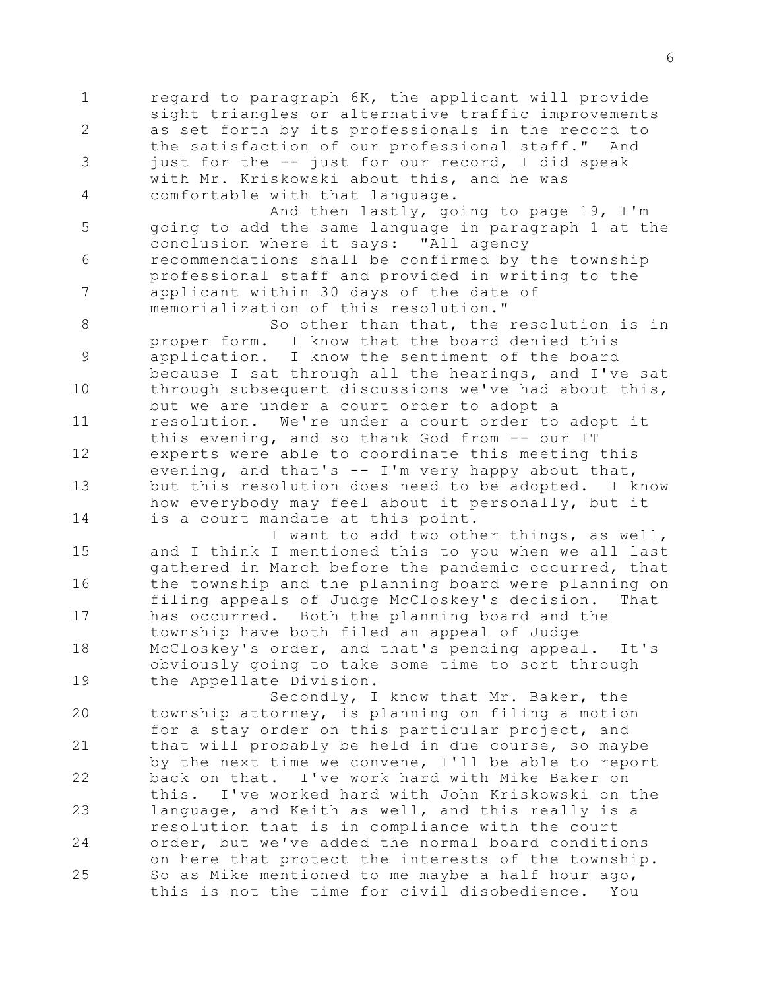1 2 3 4 5 6 7 8 9 10 11 12 13 14 15 16 17 18 19 20 21 22 23 24 25 regard to paragraph 6K, the applicant will provide sight triangles or alternative traffic improvements as set forth by its professionals in the record to the satisfaction of our professional staff." And just for the -- just for our record, I did speak with Mr. Kriskowski about this, and he was comfortable with that language. And then lastly, going to page 19, I'm going to add the same language in paragraph 1 at the conclusion where it says: "All agency recommendations shall be confirmed by the township professional staff and provided in writing to the applicant within 30 days of the date of memorialization of this resolution." So other than that, the resolution is in proper form. I know that the board denied this application. I know the sentiment of the board because I sat through all the hearings, and I've sat through subsequent discussions we've had about this, but we are under a court order to adopt a resolution. We're under a court order to adopt it this evening, and so thank God from -- our IT experts were able to coordinate this meeting this evening, and that's  $-$  I'm very happy about that, but this resolution does need to be adopted. I know how everybody may feel about it personally, but it is a court mandate at this point. I want to add two other things, as well, and I think I mentioned this to you when we all last gathered in March before the pandemic occurred, that the township and the planning board were planning on filing appeals of Judge McCloskey's decision. That has occurred. Both the planning board and the township have both filed an appeal of Judge McCloskey's order, and that's pending appeal. It's obviously going to take some time to sort through the Appellate Division. Secondly, I know that Mr. Baker, the township attorney, is planning on filing a motion for a stay order on this particular project, and that will probably be held in due course, so maybe by the next time we convene, I'll be able to report back on that. I've work hard with Mike Baker on this. I've worked hard with John Kriskowski on the language, and Keith as well, and this really is a resolution that is in compliance with the court order, but we've added the normal board conditions on here that protect the interests of the township.

So as Mike mentioned to me maybe a half hour ago, this is not the time for civil disobedience. You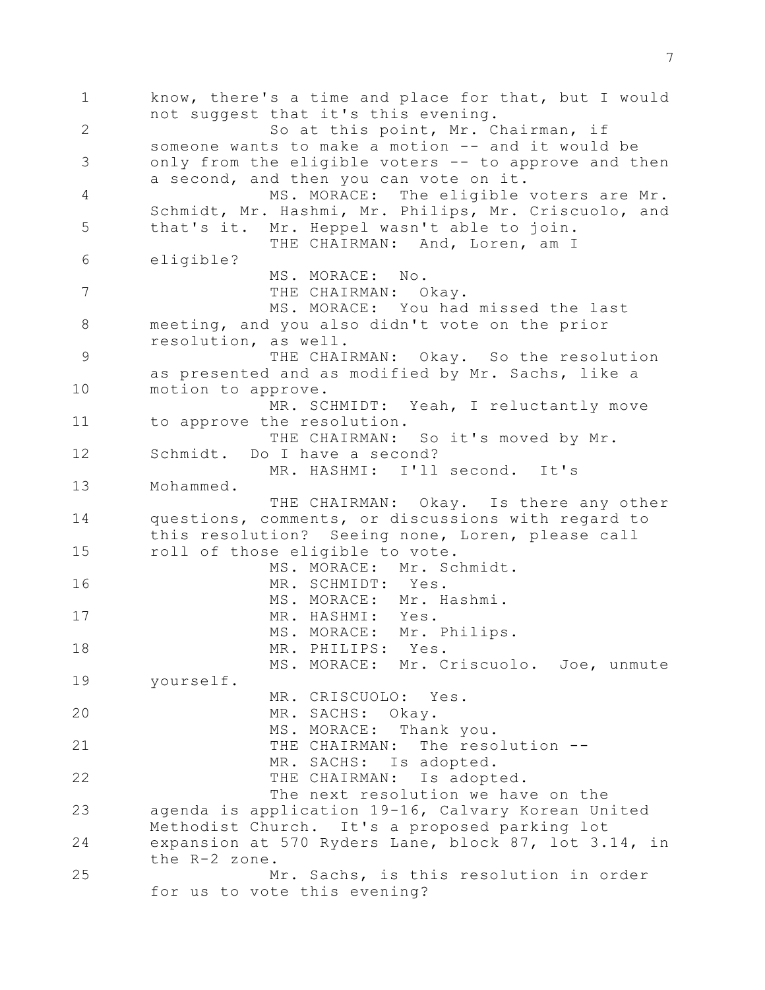1 2 3 4 5 6 7 8 9 10 11 12 13 14 15 16 17 18 19 20 21 22 23 24 25 know, there's a time and place for that, but I would not suggest that it's this evening. So at this point, Mr. Chairman, if someone wants to make a motion -- and it would be only from the eligible voters -- to approve and then a second, and then you can vote on it. MS. MORACE: The eligible voters are Mr. Schmidt, Mr. Hashmi, Mr. Philips, Mr. Criscuolo, and that's it. Mr. Heppel wasn't able to join. THE CHAIRMAN: And, Loren, am I eligible? MS. MORACE: No. THE CHAIRMAN: Okay. MS. MORACE: You had missed the last meeting, and you also didn't vote on the prior resolution, as well. THE CHAIRMAN: Okay. So the resolution as presented and as modified by Mr. Sachs, like a motion to approve. MR. SCHMIDT: Yeah, I reluctantly move to approve the resolution. THE CHAIRMAN: So it's moved by Mr. Schmidt. Do I have a second? MR. HASHMI: I'll second. It's Mohammed. THE CHAIRMAN: Okay. Is there any other questions, comments, or discussions with regard to this resolution? Seeing none, Loren, please call roll of those eligible to vote. MS. MORACE: Mr. Schmidt. MR. SCHMIDT: Yes. MS. MORACE: Mr. Hashmi. MR. HASHMI: Yes. MS. MORACE: Mr. Philips. MR. PHILIPS: Yes. MS. MORACE: Mr. Criscuolo. Joe, unmute yourself. MR. CRISCUOLO: Yes. MR. SACHS: Okay. MS. MORACE: Thank you. THE CHAIRMAN: The resolution --MR. SACHS: Is adopted. THE CHAIRMAN: Is adopted. The next resolution we have on the agenda is application 19-16, Calvary Korean United Methodist Church. It's a proposed parking lot expansion at 570 Ryders Lane, block 87, lot 3.14, in the R-2 zone. Mr. Sachs, is this resolution in order for us to vote this evening?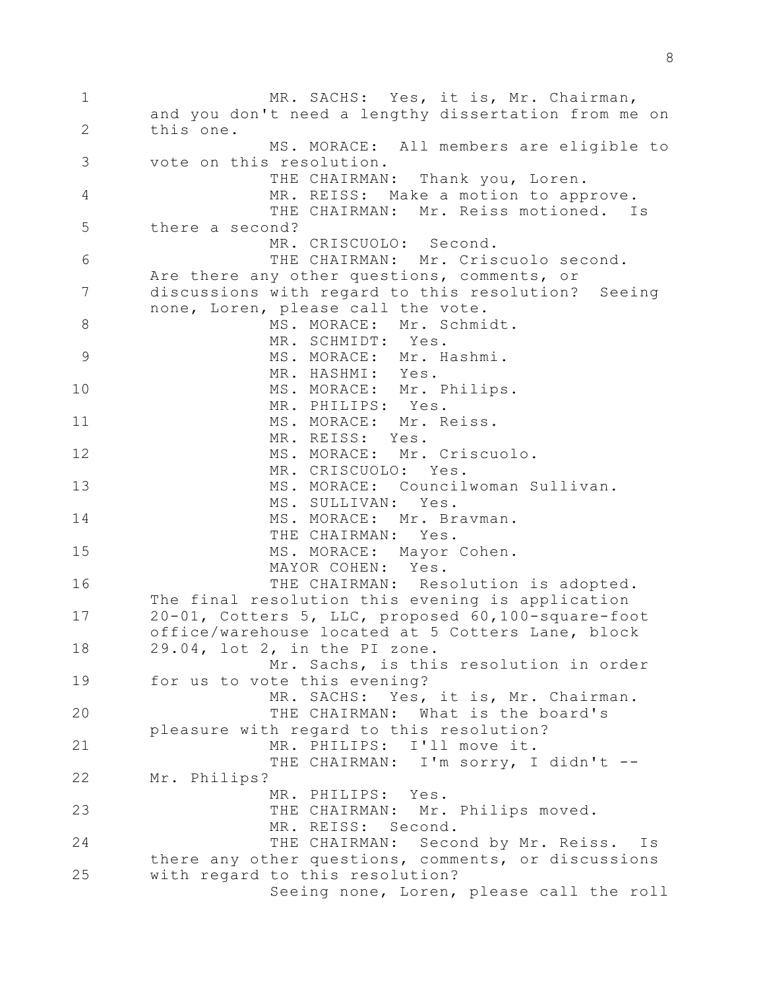1 2 3 4 5 6 7 8 9 10 11 12 13 14 15 16 17 18 19 20 21 22 23 24 25 MR. SACHS: Yes, it is, Mr. Chairman, and you don't need a lengthy dissertation from me on this one. MS. MORACE: All members are eligible to vote on this resolution. THE CHAIRMAN: Thank you, Loren. MR. REISS: Make a motion to approve. THE CHAIRMAN: Mr. Reiss motioned. Is there a second? MR. CRISCUOLO: Second. THE CHAIRMAN: Mr. Criscuolo second. Are there any other questions, comments, or discussions with regard to this resolution? Seeing none, Loren, please call the vote. MS. MORACE: Mr. Schmidt. MR. SCHMIDT: Yes. MS. MORACE: Mr. Hashmi. MR. HASHMI: Yes. MS. MORACE: Mr. Philips. MR. PHILIPS: Yes. MS. MORACE: Mr. Reiss. MR. REISS: Yes. MS. MORACE: Mr. Criscuolo. MR. CRISCUOLO: Yes. MS. MORACE: Councilwoman Sullivan. MS. SULLIVAN: Yes. MS. MORACE: Mr. Bravman. THE CHAIRMAN: Yes. MS. MORACE: Mayor Cohen. MAYOR COHEN: Yes. THE CHAIRMAN: Resolution is adopted. The final resolution this evening is application 20-01, Cotters 5, LLC, proposed 60,100-square-foot office/warehouse located at 5 Cotters Lane, block 29.04, lot 2, in the PI zone. Mr. Sachs, is this resolution in order for us to vote this evening? MR. SACHS: Yes, it is, Mr. Chairman. THE CHAIRMAN: What is the board's pleasure with regard to this resolution? MR. PHILIPS: I'll move it. THE CHAIRMAN: I'm sorry, I didn't --Mr. Philips? MR. PHILIPS: Yes. THE CHAIRMAN: Mr. Philips moved. MR. REISS: Second. THE CHAIRMAN: Second by Mr. Reiss. Is there any other questions, comments, or discussions with regard to this resolution? Seeing none, Loren, please call the roll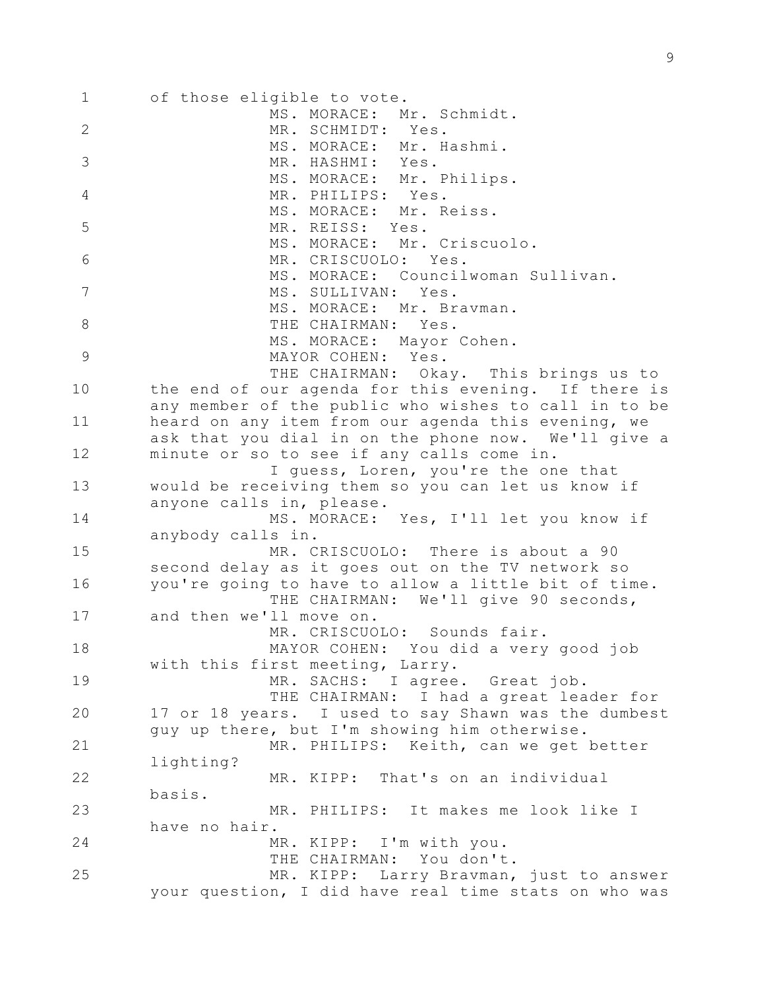| $\mathbf 1$    | of those eligible to vote.                                                       |
|----------------|----------------------------------------------------------------------------------|
|                | MS. MORACE: Mr. Schmidt.                                                         |
| $\mathbf{2}$   | MR. SCHMIDT: Yes.                                                                |
| 3              | MS. MORACE: Mr. Hashmi.<br>MR. HASHMI: Yes.                                      |
|                | MS. MORACE: Mr. Philips.                                                         |
| $\overline{4}$ | MR. PHILIPS: Yes.                                                                |
|                | MS. MORACE: Mr. Reiss.                                                           |
| 5              | MR. REISS: Yes.                                                                  |
|                | MS. MORACE: Mr. Criscuolo.                                                       |
| 6              | MR. CRISCUOLO: Yes.                                                              |
| 7              | MS. MORACE: Councilwoman Sullivan.                                               |
|                | MS. SULLIVAN: Yes.<br>MS. MORACE: Mr. Bravman.                                   |
| 8              | THE CHAIRMAN: Yes.                                                               |
|                | MS. MORACE: Mayor Cohen.                                                         |
| $\mathcal{G}$  | MAYOR COHEN: Yes.                                                                |
|                | THE CHAIRMAN: Okay. This brings us to                                            |
| 10             | the end of our agenda for this evening. If there is                              |
|                | any member of the public who wishes to call in to be                             |
| 11             | heard on any item from our agenda this evening, we                               |
|                | ask that you dial in on the phone now. We'll give a                              |
| 12             | minute or so to see if any calls come in.<br>I guess, Loren, you're the one that |
| 13             | would be receiving them so you can let us know if                                |
|                | anyone calls in, please.                                                         |
| 14             | MS. MORACE: Yes, I'll let you know if                                            |
|                | anybody calls in.                                                                |
| 15             | MR. CRISCUOLO: There is about a 90                                               |
|                | second delay as it goes out on the TV network so                                 |
| 16             | you're going to have to allow a little bit of time.                              |
| 17             | THE CHAIRMAN: We'll give 90 seconds,<br>and then we'll move on.                  |
|                | MR. CRISCUOLO: Sounds fair.                                                      |
| 18             | MAYOR COHEN: You did a very good job                                             |
|                | with this first meeting, Larry.                                                  |
| 19             | MR. SACHS: I agree. Great job.                                                   |
|                | THE CHAIRMAN: I had a great leader for                                           |
| 20             | 17 or 18 years. I used to say Shawn was the dumbest                              |
|                | guy up there, but I'm showing him otherwise.                                     |
| 21             | MR. PHILIPS: Keith, can we get better                                            |
| 22             | lighting?<br>MR. KIPP: That's on an individual                                   |
|                | basis.                                                                           |
| 23             | MR. PHILIPS: It makes me look like I                                             |
|                | have no hair.                                                                    |
| 24             | MR. KIPP: I'm with you.                                                          |
|                | THE CHAIRMAN: You don't.                                                         |
| 25             | MR. KIPP: Larry Bravman, just to answer                                          |
|                | your question, I did have real time stats on who was                             |